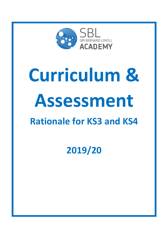

# **Curriculum & Assessment Rationale for KS3 and KS4**

**2019/20**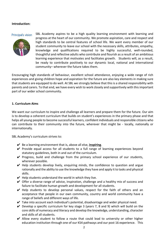# **Introduction:**

## Principal's vision



SBL Academy aspires to be a high quality learning environment with learning and progress at the heart of our community. We promote aspiration, care and respect and high standards to be central features of school life. We want every member of our student community to leave our school with the necessary skills, attributes, empathy, knowledge and qualifications required to be highly successful, well-rounded, thoughtful and reflective adults who contribute and flourish as a result of an ambitious learning experience that motivates and facilitates growth. Students will, as a result, be ready to contribute positively to our dynamic local, national and international community– wherever the future takes them.

Encouraging high standards of behaviour, excellent school attendance, enjoying a wide range of rich experiences and giving children hope and aspiration for the future are also key elements in making sure that students are equipped to do well. At SBL we strongly believe that this is a shared responsibility with parents and carers. To that end, we have every wish to work closely and supportively with this important part of our wider school community.

# **1. Curriculum Aims**

We want our curriculum to inspire and challenge all learners and prepare them for the future. Our aim is to develop a coherent curriculum that builds on student's experiences in the primary phase and that helps all young people to become successful learners, confident individuals and responsible citizens who can contribute to their community into the future, wherever that might be - locally, nationally or internationally.

SBL Academy's curriculum strives to:

- ✔ Be a learning environment that is, above all else, **inspiring**.
- $\vee$  Provide equal access for all students to a full range of learning experiences beyond statutory guidelines, both in and out of the curriculum.
- $\vee$  Progress, build and challenge from the primary school experience of our students, wherever possible.
- $\vee$  Help students develop lively, enquiring minds, the confidence to question and argue rationally and the ability to use the knowledge they have and apply it to tasks and physical skills.
- $\vee$  Help students understand the world in which they live.
- $\vee$  Offer a diverse range of advice, inspiration, challenge and a healthy mix of success and failure to facilitate human growth and development for all students.
- $\vee$  Help students to develop personal values, respect for the faith of others and an acceptance that people in our own community, country and world community have a range of beliefs and different ways of life.
- $\checkmark$  Take into account each individual's potential, disadvantage and wider physical need.
- $\vee$  Develop a specific curriculum for key stage 3 (years 7, 8 and 9) which will build on the core skills of numeracy and literacy and develop the knowledge, understanding, character and skills of all students.
- $\vee$  Allow every student to follow a route that could lead to university or other higher education institution through one of our KS4 pathways and our post 16 experience. This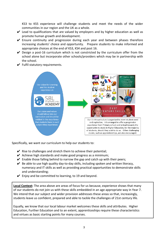KS3 to KS5 experience will challenge students and meet the needs of the wider communities in our region and the UK as a whole.

- $\vee$  Lead to qualifications that are valued by employers and by higher education as well as promote human growth and development.
- $\checkmark$  Ensure continuity and progression during each year and between phases therefore increasing students' choice and opportunity. Prepare students to make informed and appropriate choices at the end of KS3, KS4 and post 16.
- $\vee$  Design a post-16 curriculum which is not constricted by the curriculum offer from the school alone but incorporate other schools/providers which may be in partnership with the school.
- $\checkmark$  Fulfil statutory requirements.



Specifically, we want our curriculum to help our students to:

- $\vee$  Rise to challenges and stretch them to achieve their potential;
- $\vee$  Achieve high standards and make good progress as a minimum;
- $\triangleright$  Enable those falling behind to narrow the gap and catch up with their peers;
- $\vee$  Be able to use high quality day-to-day skills, including spoken and written literacy, numeracy and IT skills as well as providing practical opportunities to demonstrate skills and understanding;
- $\vee$  Enjoy and be committed to learning, to 19 and beyond.

**Local Context:** The area above are areas of focus for us because, experience shows that many of our students do not join us with these skills embedded in an age appropriate way in Year 7. We intend that our subject and wider provision addresses these areas so that, increasingly, students leave us confident, prepared and able to tackle the challenges of 21st century life.

Equally, we know that our local labour market welcomes these skills and attributes. Higher Education, Further Education and to an extent, apprenticeships require these characteristics and virtues as basic starting points for many courses.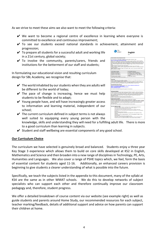As we strive to meet these aims we also want to meet the following criteria:

- ✔ We want to become a regional centre of excellence in learning where everyone is committed to excellence and continuous improvement;
- ✔ To see our students exceed national standards in achievement, attainment and progression; **SBL**<br>ACADEMY
- $\vee$  To prepare all students for a successful adult and working life in a 21st century, global society;
- $\checkmark$  To involve the community, parents/carers, friends and institutions for the betterment of our staff and students;

In formulating our educational vision and resulting curriculum design for SBL Academy, we recognise that:

- $\vee$  The world inhabited by our students when they are adults will be different to the world of today;
- $\vee$  The pace of change is increasing, hence we must help students to be flexible and to adapt;
- $\vee$  Young people have, and will have increasingly greater access to information and learning material, independent of our school;
- $\vee$  The current curriculum defined in subject terms is not always well suited to equipping every young person with the

| Our exam board for GCSE English Language and GCSE English Literature is AQA.<br>http://www.aga.org.uk/subfects/english/acse<br>English at KS4 is taught over 9 lessons a fortnight. We aim to create confident, curious, articulate                                                                                                                                                                      |                                                                                                     |  |  |
|----------------------------------------------------------------------------------------------------------------------------------------------------------------------------------------------------------------------------------------------------------------------------------------------------------------------------------------------------------------------------------------------------------|-----------------------------------------------------------------------------------------------------|--|--|
|                                                                                                                                                                                                                                                                                                                                                                                                          |                                                                                                     |  |  |
| Students will read a range of literary and non-literary texts from different times and places. They will<br>have opportunities to explore their creativity through their own writing of fiction and non fiction and<br>they will be encouraged to develop their spoken language through a variety of formal and informal<br>tasks.                                                                       | learners and to make English an enjoyable and challenging subject where every one of us gives 100%. |  |  |
| Students sit exams at the end of the two year course.<br>English Language is assessed through 2 exam papers both lasting 1 hour and 45 minutes.                                                                                                                                                                                                                                                          |                                                                                                     |  |  |
| Students will also complete a spoken language assessment which consists of a 10 minute presentation                                                                                                                                                                                                                                                                                                      |                                                                                                     |  |  |
| to a small audience.                                                                                                                                                                                                                                                                                                                                                                                     |                                                                                                     |  |  |
| English Literature is assessed through 2 exam papers. Paper 1 lasts 1 hour and 45 minutes. Paper 2<br>lasts 2 hours and 15 minutes.                                                                                                                                                                                                                                                                      |                                                                                                     |  |  |
|                                                                                                                                                                                                                                                                                                                                                                                                          |                                                                                                     |  |  |
| <b>GCSE English Language</b>                                                                                                                                                                                                                                                                                                                                                                             | <b>GCSE English Literature</b>                                                                      |  |  |
| Reading fiction (Paper 1)                                                                                                                                                                                                                                                                                                                                                                                | "Macbeth" by Shakespeare (Paper 1)                                                                  |  |  |
| Descriptive writing (Paper 1)                                                                                                                                                                                                                                                                                                                                                                            | "A Christmas Carol" by Dickens (Paper 1)                                                            |  |  |
| Narrative writing (Paper 1)                                                                                                                                                                                                                                                                                                                                                                              | "An inspector Calls" by Priestley (Paper 2)                                                         |  |  |
| Reading non-fiction (Paper 2)                                                                                                                                                                                                                                                                                                                                                                            | Love and Relationships' - poetry anthology                                                          |  |  |
| Writing to express viewpoint -                                                                                                                                                                                                                                                                                                                                                                           | (Paper 2)<br>Unseen poetry (Paper 2)                                                                |  |  |
| letter/speech/essay/leaflet/article (Paper 2)                                                                                                                                                                                                                                                                                                                                                            |                                                                                                     |  |  |
|                                                                                                                                                                                                                                                                                                                                                                                                          |                                                                                                     |  |  |
|                                                                                                                                                                                                                                                                                                                                                                                                          |                                                                                                     |  |  |
| Home Study<br>At KS4 the expectation is that students complete a minimum of 2 x 60 minutes Home Study each week.                                                                                                                                                                                                                                                                                         |                                                                                                     |  |  |
| (English = English Language and English Literature)                                                                                                                                                                                                                                                                                                                                                      |                                                                                                     |  |  |
| We recommend that students spread Literature revision evenly throughout the week and spend 15                                                                                                                                                                                                                                                                                                            |                                                                                                     |  |  |
| minutes every single day rotating the set texts. Knowledge organisers are provided to help students                                                                                                                                                                                                                                                                                                      |                                                                                                     |  |  |
| learn the key context, themes, quotations, character and plot details for each set text.                                                                                                                                                                                                                                                                                                                 |                                                                                                     |  |  |
| <b>Recommended online resources</b>                                                                                                                                                                                                                                                                                                                                                                      |                                                                                                     |  |  |
| We have a revision site for students to use at home. https://sblelevens.wordpress.com/                                                                                                                                                                                                                                                                                                                   |                                                                                                     |  |  |
| https://www.youtube.com/user/mrbruff<br>https://www.bbc.com/education/exampees/zebchv4                                                                                                                                                                                                                                                                                                                   |                                                                                                     |  |  |
|                                                                                                                                                                                                                                                                                                                                                                                                          |                                                                                                     |  |  |
| https://senecalearning.com/                                                                                                                                                                                                                                                                                                                                                                              |                                                                                                     |  |  |
| We would also recommend buying revision guides for the set texts.                                                                                                                                                                                                                                                                                                                                        |                                                                                                     |  |  |
| Marking and Feedback<br>There are three main ways that English teachers give feedback to students: verbally during lessons.                                                                                                                                                                                                                                                                              |                                                                                                     |  |  |
| written comments and through whole class feedback pro forma. Written comments follow the pattern<br>of WWW (What Went Well) and (EBI) Even Better If. Students will respond to feedback using green<br>pens to highlight the improvements that they have made. Students are taught how to self assess and<br>peer assess work using success criteria. This supports students in being more confident and |                                                                                                     |  |  |
| independent learners.<br>Assessments and PPEs are marked using GCSE number grades (1-9).                                                                                                                                                                                                                                                                                                                 |                                                                                                     |  |  |
| Students complete personal learning checklists following PPEs in Yr 11.                                                                                                                                                                                                                                                                                                                                  |                                                                                                     |  |  |
|                                                                                                                                                                                                                                                                                                                                                                                                          |                                                                                                     |  |  |
| <b>Student Support in English</b><br>Students are supported by their teachers inside and outside lessons. Students<br>with SEN will receive additional support according to their needs. The English team seeks to challenge<br>all students through extension work and enrichment activities. The progress of all students, including                                                                   |                                                                                                     |  |  |
| those with special needs, is monitored through assessment, observation and discussion at faculty<br>meetings. Differentiation may be by resource, task, group, outcome, teacher intervention and                                                                                                                                                                                                         |                                                                                                     |  |  |
|                                                                                                                                                                                                                                                                                                                                                                                                          |                                                                                                     |  |  |
| teaching approach.                                                                                                                                                                                                                                                                                                                                                                                       |                                                                                                     |  |  |
| Over the 2 year course students will be offered additional revision sessions.                                                                                                                                                                                                                                                                                                                            |                                                                                                     |  |  |
|                                                                                                                                                                                                                                                                                                                                                                                                          |                                                                                                     |  |  |
| How can I support my child?                                                                                                                                                                                                                                                                                                                                                                              |                                                                                                     |  |  |
|                                                                                                                                                                                                                                                                                                                                                                                                          | . Develop a regular routine for working at home in a place free from distractions.                  |  |  |
| . Encourage reading - perhaps read a book or the set texts together?                                                                                                                                                                                                                                                                                                                                     |                                                                                                     |  |  |
| · Ask your child to summarise the plot of a set text.                                                                                                                                                                                                                                                                                                                                                    |                                                                                                     |  |  |
|                                                                                                                                                                                                                                                                                                                                                                                                          | . Encourage your child to make flash cards and use them to regularly test them.                     |  |  |
| the cinema.                                                                                                                                                                                                                                                                                                                                                                                              |                                                                                                     |  |  |
| . Read and discuss stories in the news.                                                                                                                                                                                                                                                                                                                                                                  |                                                                                                     |  |  |
|                                                                                                                                                                                                                                                                                                                                                                                                          | . Ask to look through their exercise book, talk about their work, feel free to write a              |  |  |
| comment!                                                                                                                                                                                                                                                                                                                                                                                                 |                                                                                                     |  |  |
|                                                                                                                                                                                                                                                                                                                                                                                                          | . Test them on their knowledge organisers, which will be uploaded to insight or on the              |  |  |
| revision website.                                                                                                                                                                                                                                                                                                                                                                                        | . Keep an eve out for local performances of the plays at the theatre or live screenings at          |  |  |
| . Test them on the spellings they keep getting wrong.                                                                                                                                                                                                                                                                                                                                                    | . Read their creative writing pieces together and tell them what you like about them.               |  |  |
|                                                                                                                                                                                                                                                                                                                                                                                                          |                                                                                                     |  |  |

**English** 

- knowledge, skills and understanding they will need for a fulfilling adult life. There is more to a good curriculum than learning in subjects.
- $\checkmark$  Student and staff wellbeing are essential components of any good school.

# **Our Curriculum Choice**

The curriculum we have selected is genuinely broad and balanced. Students enjoy a three year Key Stage 3 experience which allows them to build on core skills developed at KS2 in English, Mathematics and Science and then broaden into a new range of disciplines in Technology, PE, Arts, Humanities and Languages. We also cover a range of PSHE topics which, we feel, form the basis of essential content for students aged 11-16. Additionally, an enhanced careers provision is beginning to give students a clearer understanding of what is possible into the future.

Specifically, we teach the subjects listed in the appendix to this document, many of the syllabi at KS4 are the same as in other WMAT schools. We do this to develop networks of subject specialists who can support each other and therefore continually improve our classroom pedagogy and, therefore, student progress.

We offer a detailed breakdown of course content via our website (see example right) as well as guide students and parents around Home Study, our recommended resources for each subject, teacher marking/feedback, details of additional support and advice on how parents can support their children at home.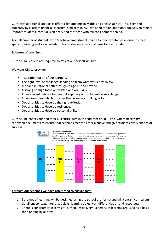Currently, additional support is offered for students in Maths and English at KS4. This is limited currently by a lack of financial capacity. Similarly, in KS3, we need to find additional capacity to rapidly improve students' core skills on entry and for those who fall considerably behind.

A small number of students with SEN have amendments made to their timetables in order to meet specific learning and social needs. This is done on a personal basis for each student.

# **Schemes of Learning:**

Curriculum Leaders are required to reflect on their curriculum:

We want KS3 to provide:

- Inspiration for all of our learners.
- The right level of challenge, leading on from what was learnt in KS2.
- A clear aspirational path through to age 18 and beyond.
- A strong enough focus on written and oral skills.
- An intelligent balance between disciplinary and substantive knowledge.
- An environment which provides the necessary thinking skills.
- Opportunities to develop the right attitudes.
- Opportunities to develop resilience.
- Opportunities to develop personal skills.

Curriculum leaders audited their KS3 curriculum in the summer of 2018 and, where necessary, redrafted documents to ensure that schemes met the criteria above and give students every chance of success.



### **Curriculum Development**

The job of the CTL is to oversee the curation of a curriculum that is sequenced intelligently in a logical progression, building on what has gone before towards clear endpoints; ensuring embedded learning as well as creating opportunities for students to have misconceptions and gaps in knowledge and skills addressed so that no student is left behind.



# **Through our schemes we have attempted to ensure that:**

- 1) Schemes of learning will be designed using the school pro-forma and will contain curriculum detail on: context, intent, key skills, learning objectives, differentiation and resources;
- 2) There is consistency in terms of curriculum delivery. Schemes of learning are used as a basis for planning by all staff;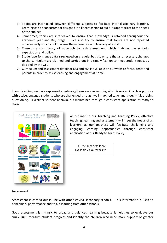- 3) Topics are interlinked between different subjects to facilitate inter disciplinary learning. Learning can be concurrent or designed in a linear fashion to build, as appropriate to the needs of the subject.
- 4) Sometimes, topics are interleaved to ensure that knowledge is retained throughout the academic year and Key Stage. We also try to ensure that topics are not repeated unnecessarily which could narrow the experience and learning of a child.
- 5) There is a consistency of approach towards assessment which matches the school's expectation and policy;
- 6) Student performance data is reviewed on a regular basis to ensure that any necessary changes to the curriculum are planned and carried out in a timely fashion to meet student need, as decided by the CTL.
- 7) Curriculum and assessment detail for KS3 and KS4 is available on our website for students and parents in order to assist learning and engagement at home.

In our teaching, we have expressed a pedagogy to encourage learning which is rooted in a clear purpose with active, engaged students who are challenged through well matched tasks and thoughtful, probing questioning. Excellent student behaviour is maintained through a consistent application of ready to learn.



As outlined in our Teaching and Learning Policy, effective teaching, learning and assessment will meet the needs of all learners, as our teachers will facilitate challenging and engaging learning opportunities through consistent application of our Ready to Learn Policy.

Curriculum details are available via our website

# **Assessment**

Assessment is carried out in line with other WMAT secondary schools. This information is used to benchmark performance and to aid learning from other schools.

Good assessment is intrinsic to broad and balanced learning because it helps us to evaluate our curriculum, measure student progress and identify the children who need more support or greater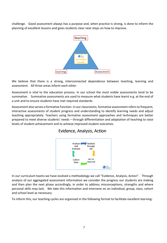challenge. Good assessment always has a purpose and, when practice is strong, is done to inform the planning of excellent lessons and gives students clear next steps on how to improve.



We believe that there is a strong, interconnected dependence between teaching, learning and assessment. All three areas inform each other.

Assessment is vital to the education process. In our school the most visible assessments tend to be summative. Summative assessments are used to measure what students have learnt e.g. at the end of a unit and to ensure students have met required standards.

Assessment also serves a formative function. In our classrooms, formative assessment refers to frequent, interactive assessments of student progress and understanding to identify learning needs and adjust teaching appropriately. Teachers using formative assessment approaches and techniques are better prepared to meet diverse students' needs – through differentiation and adaptation of teaching to raise levels of student achievement and to achieve improved student outcomes.

# Evidence, Analysis, Action



In our curriculum teams we have evolved a methodology we call "Evidence, Analysis, Action". Through analysis of our aggregated assessment information we consider the progress our students are making and then plan the next phase accordingly, in order to address misconceptions, strengths and where personal skills may lack. We take this information and intervene on an individual, group, class, cohort and school level as necessary.

To inform this, our teaching cycles are organised in the following format to facilitate excellent learning: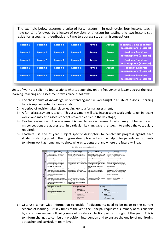The example below assumes a suite of forty lessons. In each cycle, four lessons teach new content followed by a lesson of revision, one lesson for testing and two lessons set aside for assessment feedback and time to address student misconceptions.

| Lesson 1 | Lesson 2 | Lesson 3 | <b>Lesson 4</b> | <b>Revise</b> | <b>Assess</b> | <b>Feedback &amp; time to address</b><br>misconceptions (2 lessons) |
|----------|----------|----------|-----------------|---------------|---------------|---------------------------------------------------------------------|
| Lesson 1 | Lesson 2 | Lesson 3 | Lesson 4        | <b>Revise</b> | <b>Assess</b> | <b>Feedback &amp; address</b><br>misconceptions (2 lessons)         |
| Lesson 1 | Lesson 2 | Lesson 3 | <b>Lesson 4</b> | <b>Revise</b> | <b>Assess</b> | <b>Feedback &amp; address</b><br>misconceptions (2 lessons)         |
| Lesson 1 | Lesson 2 | Lesson 3 | <b>Lesson 4</b> | <b>Revise</b> | <b>Assess</b> | <b>Feedback &amp; address</b><br>misconceptions (2 lessons)         |
| Lesson 1 | Lesson 2 | Lesson 3 | <b>Lesson 4</b> | <b>Revise</b> | <b>Assess</b> | <b>Feedback &amp; address</b><br>misconceptions (2 lessons)         |

Units of work are split into four sections where, depending on the frequency of lessons across the year, learning, teaching and assessment takes place as follows:

- 1) The chosen suite of knowledge, understanding and skills are taught in a suite of lessons; Learning here is supplemented by home study;
- 2) A period of revision takes place leading up to a formal assessment;
- 3) A formal assessment is taken. This assessment will take into account work undertaken in recent weeks and may also assess concepts covered earlier in the key stage;
- 4) Teacher evaluation of the assessment is used to re-teach elements which may not be secure and misconceptions are addressed. In particular, key language is re-taught to embed the vocabulary required;
- 5) Teachers use end of year, subject specific descriptors to benchmark progress against each student's starting point. The progress descriptors will also be helpful for parents and students to inform work at home and to show where students are and where the future will lead;



6) CTLs use cohort wide information to decide if adjustments need to be made to the current scheme of learning. At key times of the year, the Principal requests a summary of this analysis by curriculum leaders following some of our data collection points throughout the year. This is to inform changes to curriculum provision, intervention and to ensure the quality of monitoring at teacher and curriculum team level.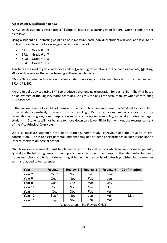# **Assessment Classification at KS3**

At KS3, each student is designated a 'Flightpath' based on a Starting Point (or SP). Our SP bands are set as follows:

Using a student's KS2 starting point as a base measure, each individual student will work at a level to be on track to achieve the following grades at the end of KS4.

- SP1: Grade 8 or 9
- SP2: Grade 6 or 7
- SP3: Grade 4 or 5
- SP4: Grade 1, 2 or 3.

Teachers are asked to grade whether a child is **E**xceeding expectations for the band as a whole, **M**eeting, **W**orking towards or **U**nder-performing at these benchmarks.

FPs are 'fine graded' with a + or  $-$  to show students working at the top middle or bottom of the band e.g. SP2+, SP2, SP2-.

FPs are initially devised using FFT 5 to produce a challenging expectation for each child. The FP is based on an average of the English/Maths score at KS2 as this the basis for accountability when constructing KS4 baselines.

In the unusual event of a child not being automatically placed on an aspirational SP, it will be possible to move students positively 'upwards' onto a new Flight Path in individual subjects so as to ensure recognition of progress, reward aspiration and to encourage social mobility, especially for disadvantaged students. Students will not be able to move down to a lower Flight Path without the express consent of the Vice Principal (curriculum).

We also measure student's attitude to learning, home study, behaviour and the "quality of oral contribution". This is to assist parental understanding of a student's performance in each lesson and to inform intervention here at school.

Our classroom assessments must be planned to inform formal reports which are sent home to parents, typically at the following times. This is important work which is done to support the relationship between home and school and to facilitate learning at home. A precise list of dates is published in the summer term and added to our calendar.

| Year                              | <b>Review 1</b> | <b>Review 2</b> | <b>Review 3</b> | <b>Review 4</b> | <b>Confirmation</b> |  |
|-----------------------------------|-----------------|-----------------|-----------------|-----------------|---------------------|--|
| Year 7                            | $Oct *$         | Nov             | Feb             | Jun             |                     |  |
| Year <sub>8</sub>                 | Oct *           | Nov             | Feb             | Jun             |                     |  |
| Year 9                            | Oct *           | Jan             | Mar             | May             |                     |  |
| Year 10                           | Oct             | Nov             | Mar             | Jul             |                     |  |
| Year 11                           | Oct             | Dec             | Feb             | Mar             |                     |  |
| Year 12                           | Sep*            | Nov             | Jan             | Mar             | May                 |  |
| Year 13                           | Sep             | Nov             | Jan             | Mar             |                     |  |
| *Attitude to Learning Review ONLY |                 |                 |                 |                 |                     |  |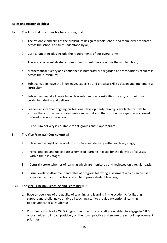# **Roles and Responsibilities:**

- A) The **Principal** is responsible for ensuring that:
	- 1 The rationale and aims of the curriculum design at whole school and team level are shared across the school and fully understood by all;
	- 2 Curriculum principles include the requirements of our overall aims;
	- 3 There is a coherent strategy to improve student literacy across the whole school;
	- 4 Mathematical fluency and confidence in numeracy are regarded as preconditions of success across the curriculum;
	- 5 Subject leaders have the knowledge, expertise and practical skill to design and implement a curriculum;
	- 6 Subject leaders at all levels have clear roles and responsibilities to carry out their role in curriculum design and delivery;
	- 7 Leaders ensure that ongoing professional development/training is available for staff to ensure that curriculum requirements can be met and that curriculum expertise is allowed to develop across the school;
	- 8 Curriculum delivery is equitable for all groups and is appropriate.

# B) The **Vice Principal (Curriculum)** will:

- 1. Have an oversight of curriculum structure and delivery within each key stage;
- 2. Have detailed and up-to-date schemes of learning in place for the delivery of courses within their key stage;
- 3. Centrally store schemes of learning which are monitored and reviewed on a regular basis;
- 4. Issue levels of attainment and rates of progress following assessment which can be used as evidence to inform actions taken to improve student learning;

# C) The **Vice Principal (Teaching and Learning)** will:

- 1. Have an overview of the quality of teaching and learning in the academy, facilitating support and challenge to enable all teaching staff to provide exceptional learning opportunities for all students;
- 2. Coordinate and lead a CPLD Programme, to ensure all staff are enabled to engage in CPLD opportunities to impact positively on their own practice and secure the school improvement priorities;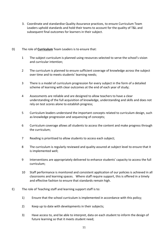3. Coordinate and standardise Quality Assurance practices, to ensure Curriculum Team Leaders uphold standards and hold their teams to account for the quality of T&L and subsequent final outcomes for learners in their subject.

# D) The role of **Curriculum** Team Leaders is to ensure that:

- 1 The subject curriculum is planned using resources selected to serve the school's vision and curricular intention;
- 2 The curriculum is planned to ensure sufficient coverage of knowledge across the subject over time and to meets students' learning needs;
- 3 There is a model of curriculum progression for every subject in the form of a detailed scheme of learning with clear outcomes at the end of each year of study;
- 4 Assessments are reliable and are designed to allow teachers to have a clear understanding of the full acquisition of knowledge, understanding and skills and does not rely on test scores alone to establish progress;
- 5 Curriculum leaders understand the important concepts related to curriculum design, such as knowledge progression and sequencing of concepts;
- 6 Curriculum coverage allows all students to access the content and make progress through the curriculum;
- 7 Reading is prioritised to allow students to access each subject;
- 8 The curriculum is regularly reviewed and quality assured at subject level to ensure that it is implemented well;
- 9 Interventions are appropriately delivered to enhance students' capacity to access the full curriculum;
- 10 Staff performance is monitored and consistent application of our policies is achieved in all classrooms and learning spaces. Where staff require support, this is offered in a timely and effective fashion to ensure that standards remain high.
- E) The role of Teaching staff and learning support staff is to:
	- 1) Ensure that the school curriculum is implemented in accordance with this policy;
	- 2) Keep up to date with developments in their subjects;
	- 3) Have access to, and be able to interpret, data on each student to inform the design of future learning so that it meets student need;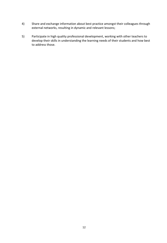- 4) Share and exchange information about best practice amongst their colleagues through external networks, resulting in dynamic and relevant lessons;
- 5) Participate in high quality professional development, working with other teachers to develop their skills in understanding the learning needs of their students and how best to address those.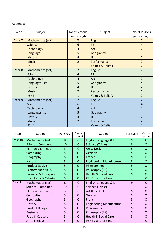# Appendix

| Year   | Subject           | No of lessons  | Subject                     | No of lessons  |
|--------|-------------------|----------------|-----------------------------|----------------|
|        |                   | per fortnight  |                             | per fortnight  |
| Year 7 | Mathematics (set) | 7              | <b>English</b>              | $\overline{7}$ |
|        | <b>Science</b>    | 6              | <b>PE</b>                   | $\overline{4}$ |
|        | <b>Technology</b> | $\overline{4}$ | Art                         | $\overline{2}$ |
|        | Languages         | 5              | Geography                   | 3              |
|        | <b>History</b>    | $\overline{4}$ | IT                          | $\overline{2}$ |
|        | <b>Music</b>      | $\overline{2}$ | Performance                 | $\overline{2}$ |
|        | <b>PSHE</b>       | $\overline{1}$ | <b>Values &amp; Beliefs</b> | $\overline{2}$ |
| Year 8 | Mathematics (set) | 7              | English                     | $\overline{7}$ |
|        | Science           | 6              | PE                          | $\overline{4}$ |
|        | Technology        | 4              | Art                         | $\overline{2}$ |
|        | Languages (set)   | 5              | Geography                   | $\overline{4}$ |
|        | History           | $\overline{4}$ | IT                          | $\overline{2}$ |
|        | <b>Music</b>      | $\overline{2}$ | Performance                 | $\mathbf{1}$   |
|        | <b>PSHE</b>       | $\overline{1}$ | Values & Beliefs            | $\overline{2}$ |
| Year 9 | Mathematics (set) | 7              | English                     | 7              |
|        | Science           | 6              | PE                          | $\overline{4}$ |
|        | Technology        | $\overline{4}$ | Art                         | $\overline{2}$ |
|        | Languages (set)   | 5              | Geography                   | $\overline{4}$ |
|        | History           | 3              | $\mathsf{I}\mathsf{T}$      | $\overline{2}$ |
|        | <b>Music</b>      | $\overline{2}$ | Performance                 | $\overline{2}$ |
|        | <b>PSHE</b>       | $\overline{1}$ | Values & Beliefs            | $\overline{2}$ |

| Year    | Subject                           | Per cycle | Core or<br>Optional | Subject                         | Per cycle      | Core or<br>Optional |
|---------|-----------------------------------|-----------|---------------------|---------------------------------|----------------|---------------------|
| Year 10 | Mathematics (set)                 | 8         | $\mathsf{C}$        | English Language & Lit          | 9              | С                   |
|         | Science (Combined)                | 10        | C                   | Science (Triple)                | $\overline{3}$ | $\Omega$            |
|         | PE (non-examined)                 | 3         | C                   | Art & Design                    | 5              | $\circ$             |
|         | Computing                         | 5         | O                   | German                          | 5              | $\circ$             |
|         | Geography                         | 5         | $\overline{O}$      | French                          | 5              | $\circ$             |
|         | <b>History</b>                    | 5         | $\overline{O}$      | <b>Engineering Manufacture</b>  | 5              | $\Omega$            |
|         | <b>Product Design</b>             | 5         | $\circ$             | PE (examined)                   | 5              | $\circ$             |
|         | <b>Performance Skills</b>         | 5         | $\circ$             | Philosophy (RS)                 | 5              | $\Omega$            |
|         | <b>Business &amp; Enterprise</b>  | 5         | $\Omega$            | <b>Health &amp; Social Care</b> | 5              | $\overline{O}$      |
|         | <b>Hospitality &amp; Catering</b> | 5         | $\Omega$            | PSHE via tutor time             |                | C                   |
| Year 11 | Mathematics (set)                 | 8         | $\mathsf{C}$        | English Language & Lit          | 9              | C                   |
|         | Science (Combined)                | 10        | $\mathsf{C}$        | Science (Triple)                | 15             | $\overline{O}$      |
|         | PE (non-examined)                 | 3         | $\mathsf{C}$        | Art (Fine Art)                  | 5              | $\Omega$            |
|         | Computing                         | 5         | $\mathsf{O}$        | German                          | 5              | $\overline{O}$      |
|         | Geography                         | 5         | $\Omega$            | French                          | 5              | $\overline{O}$      |
|         | <b>History</b>                    | 5         | $\Omega$            | <b>Engineering Manufacture</b>  | 5              | $\Omega$            |
|         | <b>Product Design</b>             | 5         | $\Omega$            | PE (examined)                   | 5              | $\overline{O}$      |
|         | <b>Business</b>                   | 5         | $\Omega$            | Philosophy (RS)                 | 5              | $\Omega$            |
|         | Food & Cookery                    | 5         | O                   | <b>Health &amp; Social Care</b> | 5              | $\circ$             |
|         | Art (Textiles)                    | 5         | O                   | PSHE via tutor time             |                | C                   |